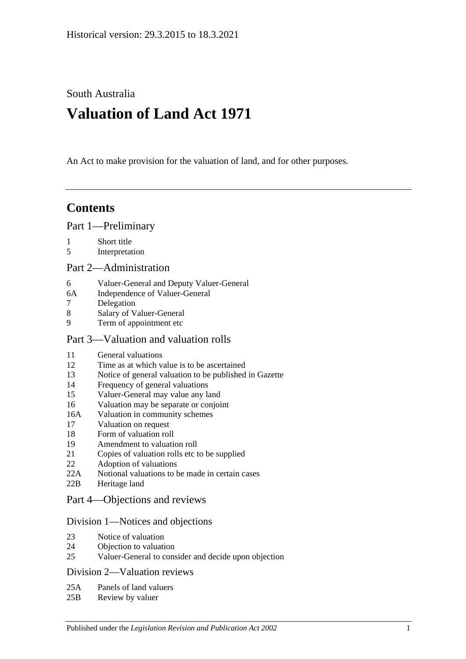South Australia

# **Valuation of Land Act 1971**

An Act to make provision for the valuation of land, and for other purposes.

## **Contents**

[Part 1—Preliminary](#page-1-0)

- 1 [Short title](#page-1-1)
- 5 [Interpretation](#page-1-2)

#### [Part 2—Administration](#page-4-0)

- 6 [Valuer-General and Deputy Valuer-General](#page-4-1)
- 6A [Independence of Valuer-General](#page-4-2)
- 7 [Delegation](#page-4-3)
- 8 [Salary of Valuer-General](#page-4-4)
- 9 [Term of appointment etc](#page-4-5)

#### [Part 3—Valuation and valuation rolls](#page-6-0)

- 11 General [valuations](#page-6-1)
- 12 [Time as at which value is to be ascertained](#page-6-2)
- 13 [Notice of general valuation to be published in Gazette](#page-6-3)
- 14 [Frequency of general valuations](#page-6-4)
- 15 [Valuer-General may value any land](#page-7-0)
- 16 [Valuation may be separate or conjoint](#page-7-1)
- 16A [Valuation in community schemes](#page-7-2)
- 17 [Valuation on request](#page-7-3)
- 18 [Form of valuation roll](#page-8-0)
- 19 [Amendment to valuation roll](#page-8-1)
- 21 [Copies of valuation rolls etc to be supplied](#page-9-0)
- 22 [Adoption of valuations](#page-9-1)
- 22A [Notional valuations to be made in certain cases](#page-9-2)
- 22B [Heritage land](#page-11-0)

## [Part 4—Objections and reviews](#page-12-0)

#### [Division 1—Notices and objections](#page-12-1)

- 23 [Notice of valuation](#page-12-2)
- 24 [Objection to valuation](#page-12-3)
- 25 [Valuer-General to consider and decide upon objection](#page-13-0)

#### [Division 2—Valuation reviews](#page-13-1)

- 25A [Panels of land valuers](#page-13-2)
- 25B [Review by valuer](#page-14-0)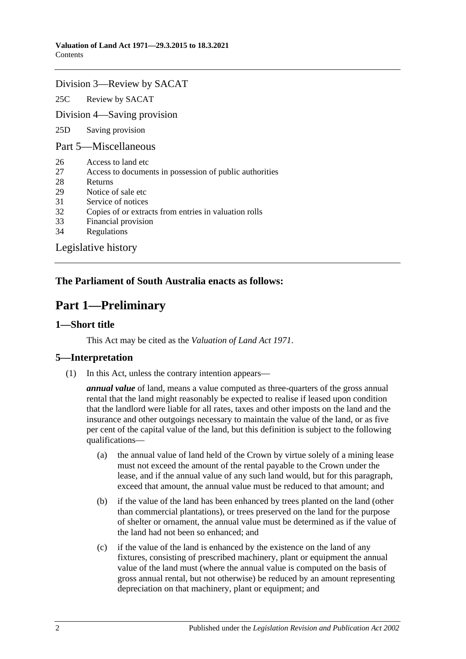#### [Division 3—Review by SACAT](#page-15-0)

25C [Review by SACAT](#page-15-1)

[Division 4—Saving provision](#page-15-2)

25D [Saving provision](#page-15-3)

[Part 5—Miscellaneous](#page-16-0)

- 26 [Access to land etc](#page-16-1)
- 27 [Access to documents in possession of public authorities](#page-16-2)
- 28 [Returns](#page-16-3)
- 29 [Notice of sale etc](#page-17-0)
- 31 [Service of notices](#page-17-1)
- 32 [Copies of or extracts from entries in valuation rolls](#page-17-2)
- 33 [Financial provision](#page-17-3)
- 34 [Regulations](#page-18-0)

[Legislative history](#page-19-0)

### <span id="page-1-0"></span>**The Parliament of South Australia enacts as follows:**

## **Part 1—Preliminary**

#### <span id="page-1-1"></span>**1—Short title**

This Act may be cited as the *Valuation of Land Act 1971*.

#### <span id="page-1-2"></span>**5—Interpretation**

(1) In this Act, unless the contrary intention appears—

*annual value* of land, means a value computed as three-quarters of the gross annual rental that the land might reasonably be expected to realise if leased upon condition that the landlord were liable for all rates, taxes and other imposts on the land and the insurance and other outgoings necessary to maintain the value of the land, or as five per cent of the capital value of the land, but this definition is subject to the following qualifications—

- (a) the annual value of land held of the Crown by virtue solely of a mining lease must not exceed the amount of the rental payable to the Crown under the lease, and if the annual value of any such land would, but for this paragraph, exceed that amount, the annual value must be reduced to that amount; and
- (b) if the value of the land has been enhanced by trees planted on the land (other than commercial plantations), or trees preserved on the land for the purpose of shelter or ornament, the annual value must be determined as if the value of the land had not been so enhanced; and
- (c) if the value of the land is enhanced by the existence on the land of any fixtures, consisting of prescribed machinery, plant or equipment the annual value of the land must (where the annual value is computed on the basis of gross annual rental, but not otherwise) be reduced by an amount representing depreciation on that machinery, plant or equipment; and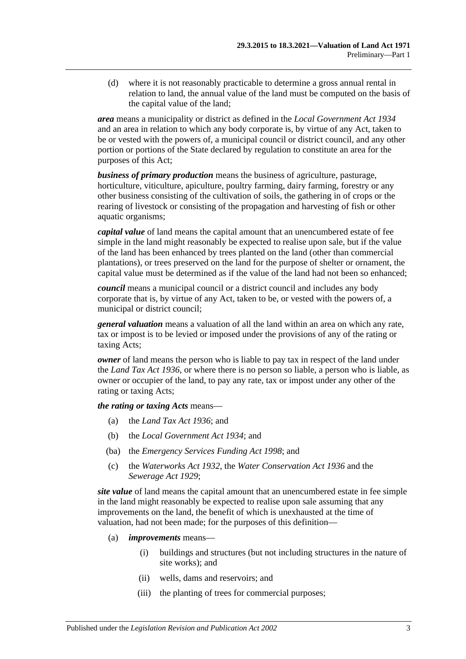(d) where it is not reasonably practicable to determine a gross annual rental in relation to land, the annual value of the land must be computed on the basis of the capital value of the land;

*area* means a municipality or district as defined in the *[Local Government Act](http://www.legislation.sa.gov.au/index.aspx?action=legref&type=act&legtitle=Local%20Government%20Act%201934) 1934* and an area in relation to which any body corporate is, by virtue of any Act, taken to be or vested with the powers of, a municipal council or district council, and any other portion or portions of the State declared by regulation to constitute an area for the purposes of this Act;

*business of primary production* means the business of agriculture, pasturage, horticulture, viticulture, apiculture, poultry farming, dairy farming, forestry or any other business consisting of the cultivation of soils, the gathering in of crops or the rearing of livestock or consisting of the propagation and harvesting of fish or other aquatic organisms;

*capital value* of land means the capital amount that an unencumbered estate of fee simple in the land might reasonably be expected to realise upon sale, but if the value of the land has been enhanced by trees planted on the land (other than commercial plantations), or trees preserved on the land for the purpose of shelter or ornament, the capital value must be determined as if the value of the land had not been so enhanced;

*council* means a municipal council or a district council and includes any body corporate that is, by virtue of any Act, taken to be, or vested with the powers of, a municipal or district council;

*general valuation* means a valuation of all the land within an area on which any rate, tax or impost is to be levied or imposed under the provisions of any of the rating or taxing Acts;

*owner* of land means the person who is liable to pay tax in respect of the land under the *[Land Tax Act](http://www.legislation.sa.gov.au/index.aspx?action=legref&type=act&legtitle=Land%20Tax%20Act%201936) 1936*, or where there is no person so liable, a person who is liable, as owner or occupier of the land, to pay any rate, tax or impost under any other of the rating or taxing Acts;

*the rating or taxing Acts* means—

- (a) the *[Land Tax Act](http://www.legislation.sa.gov.au/index.aspx?action=legref&type=act&legtitle=Land%20Tax%20Act%201936) 1936*; and
- (b) the *[Local Government Act](http://www.legislation.sa.gov.au/index.aspx?action=legref&type=act&legtitle=Local%20Government%20Act%201934) 1934*; and
- (ba) the *[Emergency Services Funding Act](http://www.legislation.sa.gov.au/index.aspx?action=legref&type=act&legtitle=Emergency%20Services%20Funding%20Act%201998) 1998*; and
- (c) the *[Waterworks Act](http://www.legislation.sa.gov.au/index.aspx?action=legref&type=act&legtitle=Waterworks%20Act%201932) 1932*, the *[Water Conservation Act](http://www.legislation.sa.gov.au/index.aspx?action=legref&type=act&legtitle=Water%20Conservation%20Act%201936) 1936* and the *[Sewerage Act](http://www.legislation.sa.gov.au/index.aspx?action=legref&type=act&legtitle=Sewerage%20Act%201929) 1929*;

*site value* of land means the capital amount that an unencumbered estate in fee simple in the land might reasonably be expected to realise upon sale assuming that any improvements on the land, the benefit of which is unexhausted at the time of valuation, had not been made; for the purposes of this definition—

- (a) *improvements* means—
	- (i) buildings and structures (but not including structures in the nature of site works); and
	- (ii) wells, dams and reservoirs; and
	- (iii) the planting of trees for commercial purposes;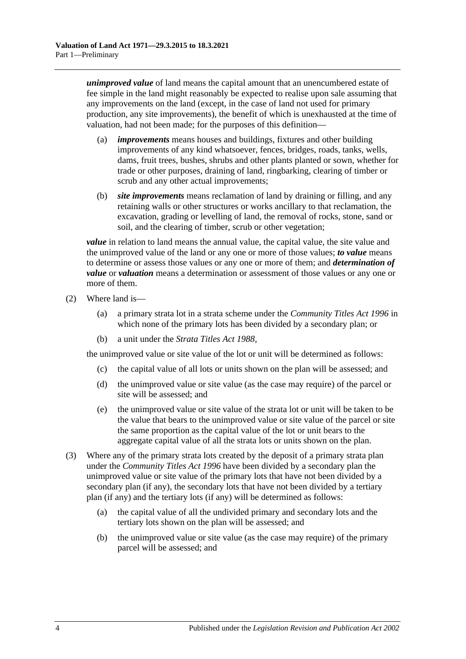*unimproved value* of land means the capital amount that an unencumbered estate of fee simple in the land might reasonably be expected to realise upon sale assuming that any improvements on the land (except, in the case of land not used for primary production, any site improvements), the benefit of which is unexhausted at the time of valuation, had not been made; for the purposes of this definition—

- (a) *improvements* means houses and buildings, fixtures and other building improvements of any kind whatsoever, fences, bridges, roads, tanks, wells, dams, fruit trees, bushes, shrubs and other plants planted or sown, whether for trade or other purposes, draining of land, ringbarking, clearing of timber or scrub and any other actual improvements;
- (b) *site improvements* means reclamation of land by draining or filling, and any retaining walls or other structures or works ancillary to that reclamation, the excavation, grading or levelling of land, the removal of rocks, stone, sand or soil, and the clearing of timber, scrub or other vegetation;

*value* in relation to land means the annual value, the capital value, the site value and the unimproved value of the land or any one or more of those values; *to value* means to determine or assess those values or any one or more of them; and *determination of value* or *valuation* means a determination or assessment of those values or any one or more of them.

- (2) Where land is—
	- (a) a primary strata lot in a strata scheme under the *[Community Titles Act](http://www.legislation.sa.gov.au/index.aspx?action=legref&type=act&legtitle=Community%20Titles%20Act%201996) 1996* in which none of the primary lots has been divided by a secondary plan; or
	- (b) a unit under the *[Strata Titles Act](http://www.legislation.sa.gov.au/index.aspx?action=legref&type=act&legtitle=Strata%20Titles%20Act%201988) 1988*,

the unimproved value or site value of the lot or unit will be determined as follows:

- (c) the capital value of all lots or units shown on the plan will be assessed; and
- (d) the unimproved value or site value (as the case may require) of the parcel or site will be assessed; and
- (e) the unimproved value or site value of the strata lot or unit will be taken to be the value that bears to the unimproved value or site value of the parcel or site the same proportion as the capital value of the lot or unit bears to the aggregate capital value of all the strata lots or units shown on the plan.
- (3) Where any of the primary strata lots created by the deposit of a primary strata plan under the *[Community Titles Act](http://www.legislation.sa.gov.au/index.aspx?action=legref&type=act&legtitle=Community%20Titles%20Act%201996) 1996* have been divided by a secondary plan the unimproved value or site value of the primary lots that have not been divided by a secondary plan (if any), the secondary lots that have not been divided by a tertiary plan (if any) and the tertiary lots (if any) will be determined as follows:
	- (a) the capital value of all the undivided primary and secondary lots and the tertiary lots shown on the plan will be assessed; and
	- (b) the unimproved value or site value (as the case may require) of the primary parcel will be assessed; and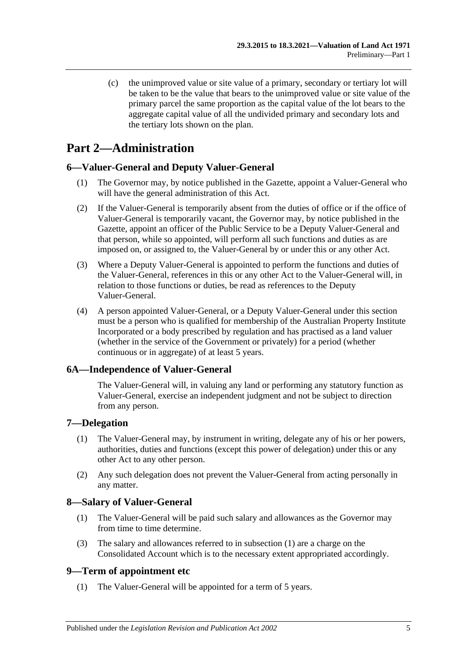(c) the unimproved value or site value of a primary, secondary or tertiary lot will be taken to be the value that bears to the unimproved value or site value of the primary parcel the same proportion as the capital value of the lot bears to the aggregate capital value of all the undivided primary and secondary lots and the tertiary lots shown on the plan.

## <span id="page-4-0"></span>**Part 2—Administration**

## <span id="page-4-1"></span>**6—Valuer-General and Deputy Valuer-General**

- (1) The Governor may, by notice published in the Gazette, appoint a Valuer-General who will have the general administration of this Act.
- (2) If the Valuer-General is temporarily absent from the duties of office or if the office of Valuer-General is temporarily vacant, the Governor may, by notice published in the Gazette, appoint an officer of the Public Service to be a Deputy Valuer-General and that person, while so appointed, will perform all such functions and duties as are imposed on, or assigned to, the Valuer-General by or under this or any other Act.
- (3) Where a Deputy Valuer-General is appointed to perform the functions and duties of the Valuer-General, references in this or any other Act to the Valuer-General will, in relation to those functions or duties, be read as references to the Deputy Valuer-General.
- (4) A person appointed Valuer-General, or a Deputy Valuer-General under this section must be a person who is qualified for membership of the Australian Property Institute Incorporated or a body prescribed by regulation and has practised as a land valuer (whether in the service of the Government or privately) for a period (whether continuous or in aggregate) of at least 5 years.

#### <span id="page-4-2"></span>**6A—Independence of Valuer-General**

The Valuer-General will, in valuing any land or performing any statutory function as Valuer-General, exercise an independent judgment and not be subject to direction from any person.

#### <span id="page-4-3"></span>**7—Delegation**

- (1) The Valuer-General may, by instrument in writing, delegate any of his or her powers, authorities, duties and functions (except this power of delegation) under this or any other Act to any other person.
- (2) Any such delegation does not prevent the Valuer-General from acting personally in any matter.

#### <span id="page-4-6"></span><span id="page-4-4"></span>**8—Salary of Valuer-General**

- (1) The Valuer-General will be paid such salary and allowances as the Governor may from time to time determine.
- (3) The salary and allowances referred to in [subsection](#page-4-6) (1) are a charge on the Consolidated Account which is to the necessary extent appropriated accordingly.

#### <span id="page-4-5"></span>**9—Term of appointment etc**

(1) The Valuer-General will be appointed for a term of 5 years.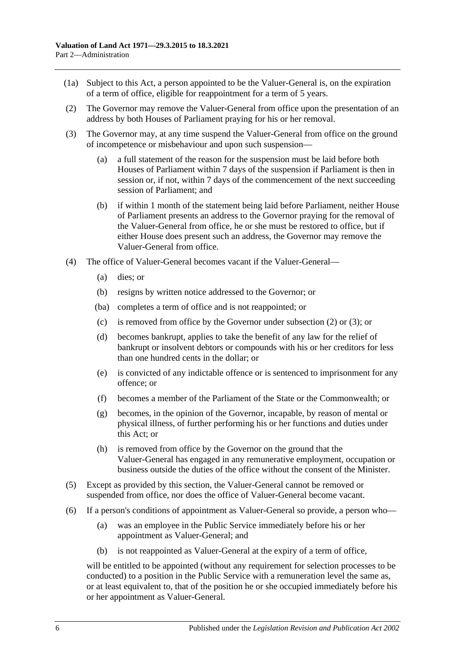- (1a) Subject to this Act, a person appointed to be the Valuer-General is, on the expiration of a term of office, eligible for reappointment for a term of 5 years.
- <span id="page-5-0"></span>(2) The Governor may remove the Valuer-General from office upon the presentation of an address by both Houses of Parliament praying for his or her removal.
- <span id="page-5-1"></span>(3) The Governor may, at any time suspend the Valuer-General from office on the ground of incompetence or misbehaviour and upon such suspension—
	- (a) a full statement of the reason for the suspension must be laid before both Houses of Parliament within 7 days of the suspension if Parliament is then in session or, if not, within 7 days of the commencement of the next succeeding session of Parliament; and
	- (b) if within 1 month of the statement being laid before Parliament, neither House of Parliament presents an address to the Governor praying for the removal of the Valuer-General from office, he or she must be restored to office, but if either House does present such an address, the Governor may remove the Valuer-General from office.
- (4) The office of Valuer-General becomes vacant if the Valuer-General—
	- (a) dies; or
	- (b) resigns by written notice addressed to the Governor; or
	- (ba) completes a term of office and is not reappointed; or
	- (c) is removed from office by the Governor under [subsection](#page-5-0) (2) or [\(3\);](#page-5-1) or
	- (d) becomes bankrupt, applies to take the benefit of any law for the relief of bankrupt or insolvent debtors or compounds with his or her creditors for less than one hundred cents in the dollar; or
	- (e) is convicted of any indictable offence or is sentenced to imprisonment for any offence; or
	- (f) becomes a member of the Parliament of the State or the Commonwealth; or
	- (g) becomes, in the opinion of the Governor, incapable, by reason of mental or physical illness, of further performing his or her functions and duties under this Act; or
	- (h) is removed from office by the Governor on the ground that the Valuer-General has engaged in any remunerative employment, occupation or business outside the duties of the office without the consent of the Minister.
- (5) Except as provided by this section, the Valuer-General cannot be removed or suspended from office, nor does the office of Valuer-General become vacant.
- (6) If a person's conditions of appointment as Valuer-General so provide, a person who—
	- (a) was an employee in the Public Service immediately before his or her appointment as Valuer-General; and
	- (b) is not reappointed as Valuer-General at the expiry of a term of office,

will be entitled to be appointed (without any requirement for selection processes to be conducted) to a position in the Public Service with a remuneration level the same as, or at least equivalent to, that of the position he or she occupied immediately before his or her appointment as Valuer-General.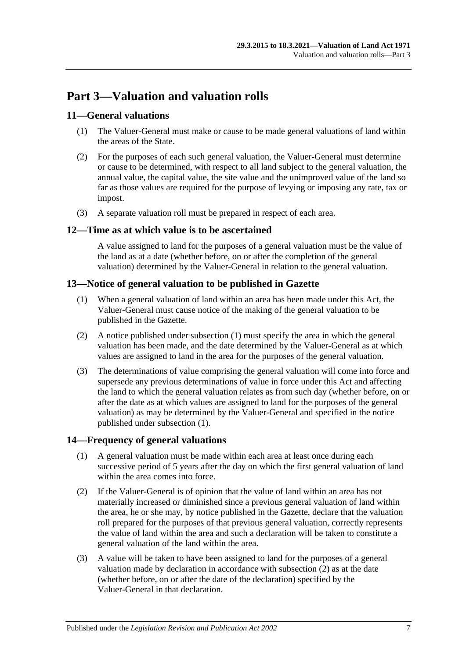## <span id="page-6-0"></span>**Part 3—Valuation and valuation rolls**

#### <span id="page-6-1"></span>**11—General valuations**

- (1) The Valuer-General must make or cause to be made general valuations of land within the areas of the State.
- (2) For the purposes of each such general valuation, the Valuer-General must determine or cause to be determined, with respect to all land subject to the general valuation, the annual value, the capital value, the site value and the unimproved value of the land so far as those values are required for the purpose of levying or imposing any rate, tax or impost.
- (3) A separate valuation roll must be prepared in respect of each area.

#### <span id="page-6-2"></span>**12—Time as at which value is to be ascertained**

A value assigned to land for the purposes of a general valuation must be the value of the land as at a date (whether before, on or after the completion of the general valuation) determined by the Valuer-General in relation to the general valuation.

#### <span id="page-6-5"></span><span id="page-6-3"></span>**13—Notice of general valuation to be published in Gazette**

- (1) When a general valuation of land within an area has been made under this Act, the Valuer-General must cause notice of the making of the general valuation to be published in the Gazette.
- (2) A notice published under [subsection](#page-6-5) (1) must specify the area in which the general valuation has been made, and the date determined by the Valuer-General as at which values are assigned to land in the area for the purposes of the general valuation.
- (3) The determinations of value comprising the general valuation will come into force and supersede any previous determinations of value in force under this Act and affecting the land to which the general valuation relates as from such day (whether before, on or after the date as at which values are assigned to land for the purposes of the general valuation) as may be determined by the Valuer-General and specified in the notice published under [subsection](#page-6-5) (1).

#### <span id="page-6-4"></span>**14—Frequency of general valuations**

- (1) A general valuation must be made within each area at least once during each successive period of 5 years after the day on which the first general valuation of land within the area comes into force.
- <span id="page-6-6"></span>(2) If the Valuer-General is of opinion that the value of land within an area has not materially increased or diminished since a previous general valuation of land within the area, he or she may, by notice published in the Gazette, declare that the valuation roll prepared for the purposes of that previous general valuation, correctly represents the value of land within the area and such a declaration will be taken to constitute a general valuation of the land within the area.
- (3) A value will be taken to have been assigned to land for the purposes of a general valuation made by declaration in accordance with [subsection](#page-6-6) (2) as at the date (whether before, on or after the date of the declaration) specified by the Valuer-General in that declaration.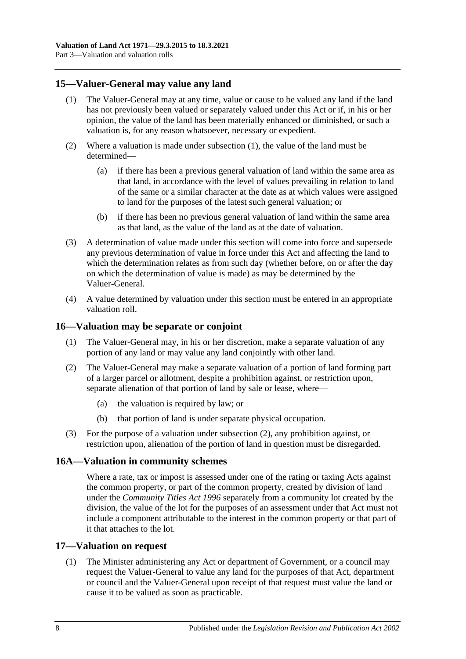#### <span id="page-7-4"></span><span id="page-7-0"></span>**15—Valuer-General may value any land**

- (1) The Valuer-General may at any time, value or cause to be valued any land if the land has not previously been valued or separately valued under this Act or if, in his or her opinion, the value of the land has been materially enhanced or diminished, or such a valuation is, for any reason whatsoever, necessary or expedient.
- (2) Where a valuation is made under [subsection](#page-7-4) (1), the value of the land must be determined—
	- (a) if there has been a previous general valuation of land within the same area as that land, in accordance with the level of values prevailing in relation to land of the same or a similar character at the date as at which values were assigned to land for the purposes of the latest such general valuation; or
	- (b) if there has been no previous general valuation of land within the same area as that land, as the value of the land as at the date of valuation.
- (3) A determination of value made under this section will come into force and supersede any previous determination of value in force under this Act and affecting the land to which the determination relates as from such day (whether before, on or after the day on which the determination of value is made) as may be determined by the Valuer-General.
- (4) A value determined by valuation under this section must be entered in an appropriate valuation roll.

#### <span id="page-7-1"></span>**16—Valuation may be separate or conjoint**

- (1) The Valuer-General may, in his or her discretion, make a separate valuation of any portion of any land or may value any land conjointly with other land.
- <span id="page-7-5"></span>(2) The Valuer-General may make a separate valuation of a portion of land forming part of a larger parcel or allotment, despite a prohibition against, or restriction upon, separate alienation of that portion of land by sale or lease, where—
	- (a) the valuation is required by law; or
	- (b) that portion of land is under separate physical occupation.
- (3) For the purpose of a valuation under [subsection](#page-7-5) (2), any prohibition against, or restriction upon, alienation of the portion of land in question must be disregarded.

#### <span id="page-7-2"></span>**16A—Valuation in community schemes**

Where a rate, tax or impost is assessed under one of the rating or taxing Acts against the common property, or part of the common property, created by division of land under the *[Community Titles Act](http://www.legislation.sa.gov.au/index.aspx?action=legref&type=act&legtitle=Community%20Titles%20Act%201996) 1996* separately from a community lot created by the division, the value of the lot for the purposes of an assessment under that Act must not include a component attributable to the interest in the common property or that part of it that attaches to the lot.

#### <span id="page-7-6"></span><span id="page-7-3"></span>**17—Valuation on request**

(1) The Minister administering any Act or department of Government, or a council may request the Valuer-General to value any land for the purposes of that Act, department or council and the Valuer-General upon receipt of that request must value the land or cause it to be valued as soon as practicable.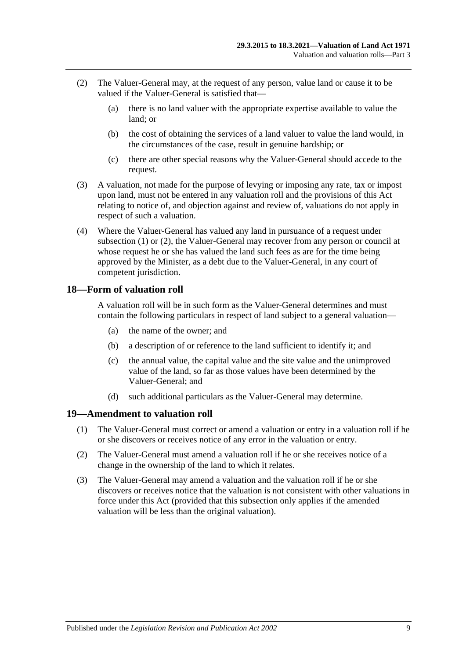- <span id="page-8-2"></span>(2) The Valuer-General may, at the request of any person, value land or cause it to be valued if the Valuer-General is satisfied that—
	- (a) there is no land valuer with the appropriate expertise available to value the land; or
	- (b) the cost of obtaining the services of a land valuer to value the land would, in the circumstances of the case, result in genuine hardship; or
	- (c) there are other special reasons why the Valuer-General should accede to the request.
- (3) A valuation, not made for the purpose of levying or imposing any rate, tax or impost upon land, must not be entered in any valuation roll and the provisions of this Act relating to notice of, and objection against and review of, valuations do not apply in respect of such a valuation.
- (4) Where the Valuer-General has valued any land in pursuance of a request under [subsection](#page-7-6) (1) or [\(2\),](#page-8-2) the Valuer-General may recover from any person or council at whose request he or she has valued the land such fees as are for the time being approved by the Minister, as a debt due to the Valuer-General, in any court of competent jurisdiction.

### <span id="page-8-0"></span>**18—Form of valuation roll**

A valuation roll will be in such form as the Valuer-General determines and must contain the following particulars in respect of land subject to a general valuation—

- (a) the name of the owner; and
- (b) a description of or reference to the land sufficient to identify it; and
- (c) the annual value, the capital value and the site value and the unimproved value of the land, so far as those values have been determined by the Valuer-General; and
- (d) such additional particulars as the Valuer-General may determine.

#### <span id="page-8-1"></span>**19—Amendment to valuation roll**

- (1) The Valuer-General must correct or amend a valuation or entry in a valuation roll if he or she discovers or receives notice of any error in the valuation or entry.
- (2) The Valuer-General must amend a valuation roll if he or she receives notice of a change in the ownership of the land to which it relates.
- (3) The Valuer-General may amend a valuation and the valuation roll if he or she discovers or receives notice that the valuation is not consistent with other valuations in force under this Act (provided that this subsection only applies if the amended valuation will be less than the original valuation).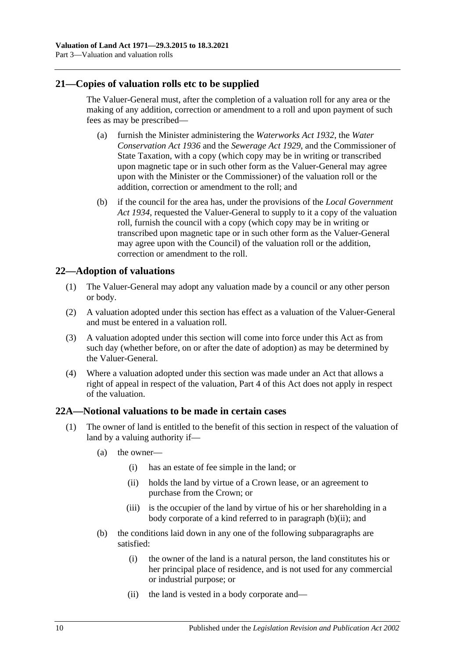#### <span id="page-9-0"></span>**21—Copies of valuation rolls etc to be supplied**

The Valuer-General must, after the completion of a valuation roll for any area or the making of any addition, correction or amendment to a roll and upon payment of such fees as may be prescribed—

- (a) furnish the Minister administering the *[Waterworks Act](http://www.legislation.sa.gov.au/index.aspx?action=legref&type=act&legtitle=Waterworks%20Act%201932) 1932*, the *[Water](http://www.legislation.sa.gov.au/index.aspx?action=legref&type=act&legtitle=Water%20Conservation%20Act%201936)  [Conservation Act](http://www.legislation.sa.gov.au/index.aspx?action=legref&type=act&legtitle=Water%20Conservation%20Act%201936) 1936* and the *[Sewerage Act](http://www.legislation.sa.gov.au/index.aspx?action=legref&type=act&legtitle=Sewerage%20Act%201929) 1929*, and the Commissioner of State Taxation, with a copy (which copy may be in writing or transcribed upon magnetic tape or in such other form as the Valuer-General may agree upon with the Minister or the Commissioner) of the valuation roll or the addition, correction or amendment to the roll; and
- (b) if the council for the area has, under the provisions of the *[Local Government](http://www.legislation.sa.gov.au/index.aspx?action=legref&type=act&legtitle=Local%20Government%20Act%201934)  Act [1934](http://www.legislation.sa.gov.au/index.aspx?action=legref&type=act&legtitle=Local%20Government%20Act%201934)*, requested the Valuer-General to supply to it a copy of the valuation roll, furnish the council with a copy (which copy may be in writing or transcribed upon magnetic tape or in such other form as the Valuer-General may agree upon with the Council) of the valuation roll or the addition, correction or amendment to the roll.

### <span id="page-9-1"></span>**22—Adoption of valuations**

- (1) The Valuer-General may adopt any valuation made by a council or any other person or body.
- (2) A valuation adopted under this section has effect as a valuation of the Valuer-General and must be entered in a valuation roll.
- (3) A valuation adopted under this section will come into force under this Act as from such day (whether before, on or after the date of adoption) as may be determined by the Valuer-General.
- (4) Where a valuation adopted under this section was made under an Act that allows a right of appeal in respect of the valuation, [Part 4](#page-12-0) of this Act does not apply in respect of the valuation.

#### <span id="page-9-2"></span>**22A—Notional valuations to be made in certain cases**

- <span id="page-9-4"></span><span id="page-9-3"></span>(1) The owner of land is entitled to the benefit of this section in respect of the valuation of land by a valuing authority if—
	- (a) the owner—
		- (i) has an estate of fee simple in the land; or
		- (ii) holds the land by virtue of a Crown lease, or an agreement to purchase from the Crown; or
		- (iii) is the occupier of the land by virtue of his or her shareholding in a body corporate of a kind referred to in [paragraph](#page-9-3) (b)(ii); and
	- (b) the conditions laid down in any one of the following subparagraphs are satisfied:
		- (i) the owner of the land is a natural person, the land constitutes his or her principal place of residence, and is not used for any commercial or industrial purpose; or
		- (ii) the land is vested in a body corporate and—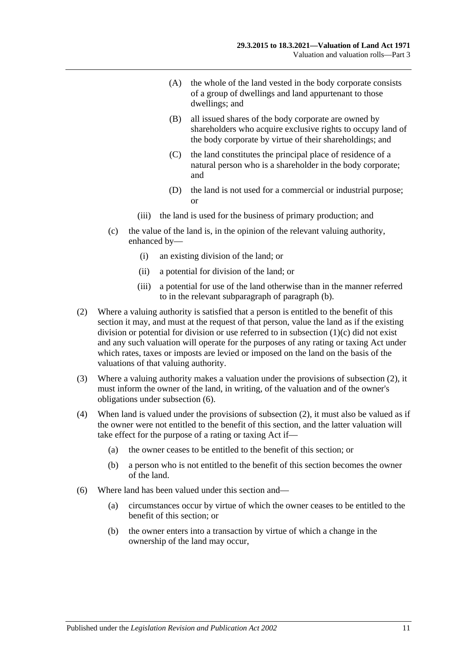- (A) the whole of the land vested in the body corporate consists of a group of dwellings and land appurtenant to those dwellings; and
- (B) all issued shares of the body corporate are owned by shareholders who acquire exclusive rights to occupy land of the body corporate by virtue of their shareholdings; and
- (C) the land constitutes the principal place of residence of a natural person who is a shareholder in the body corporate; and
- (D) the land is not used for a commercial or industrial purpose; or
- (iii) the land is used for the business of primary production; and
- <span id="page-10-0"></span>(c) the value of the land is, in the opinion of the relevant valuing authority, enhanced by—
	- (i) an existing division of the land; or
	- (ii) a potential for division of the land; or
	- (iii) a potential for use of the land otherwise than in the manner referred to in the relevant subparagraph of [paragraph](#page-9-4) (b).
- <span id="page-10-1"></span>(2) Where a valuing authority is satisfied that a person is entitled to the benefit of this section it may, and must at the request of that person, value the land as if the existing division or potential for division or use referred to in [subsection](#page-10-0) (1)(c) did not exist and any such valuation will operate for the purposes of any rating or taxing Act under which rates, taxes or imposts are levied or imposed on the land on the basis of the valuations of that valuing authority.
- (3) Where a valuing authority makes a valuation under the provisions of [subsection](#page-10-1) (2), it must inform the owner of the land, in writing, of the valuation and of the owner's obligations under [subsection](#page-10-2) (6).
- (4) When land is valued under the provisions of [subsection](#page-10-1) (2), it must also be valued as if the owner were not entitled to the benefit of this section, and the latter valuation will take effect for the purpose of a rating or taxing Act if—
	- (a) the owner ceases to be entitled to the benefit of this section; or
	- (b) a person who is not entitled to the benefit of this section becomes the owner of the land.
- <span id="page-10-2"></span>(6) Where land has been valued under this section and—
	- (a) circumstances occur by virtue of which the owner ceases to be entitled to the benefit of this section; or
	- (b) the owner enters into a transaction by virtue of which a change in the ownership of the land may occur,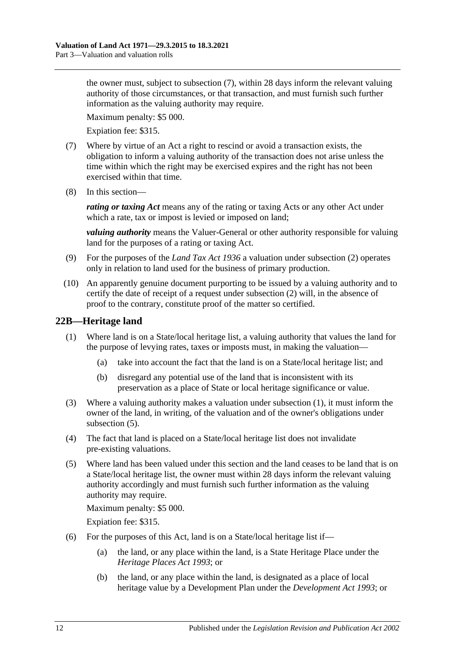the owner must, subject to [subsection](#page-11-1) (7), within 28 days inform the relevant valuing authority of those circumstances, or that transaction, and must furnish such further information as the valuing authority may require.

Maximum penalty: \$5 000.

Expiation fee: \$315.

- <span id="page-11-1"></span>(7) Where by virtue of an Act a right to rescind or avoid a transaction exists, the obligation to inform a valuing authority of the transaction does not arise unless the time within which the right may be exercised expires and the right has not been exercised within that time.
- (8) In this section—

*rating or taxing Act* means any of the rating or taxing Acts or any other Act under which a rate, tax or impost is levied or imposed on land;

*valuing authority* means the Valuer-General or other authority responsible for valuing land for the purposes of a rating or taxing Act.

- (9) For the purposes of the *[Land Tax Act](http://www.legislation.sa.gov.au/index.aspx?action=legref&type=act&legtitle=Land%20Tax%20Act%201936) 1936* a valuation under [subsection](#page-10-1) (2) operates only in relation to land used for the business of primary production.
- (10) An apparently genuine document purporting to be issued by a valuing authority and to certify the date of receipt of a request under [subsection](#page-10-1) (2) will, in the absence of proof to the contrary, constitute proof of the matter so certified.

## <span id="page-11-2"></span><span id="page-11-0"></span>**22B—Heritage land**

- (1) Where land is on a State/local heritage list, a valuing authority that values the land for the purpose of levying rates, taxes or imposts must, in making the valuation—
	- (a) take into account the fact that the land is on a State/local heritage list; and
	- (b) disregard any potential use of the land that is inconsistent with its preservation as a place of State or local heritage significance or value.
- (3) Where a valuing authority makes a valuation under [subsection](#page-11-2) (1), it must inform the owner of the land, in writing, of the valuation and of the owner's obligations under [subsection](#page-11-3) (5).
- (4) The fact that land is placed on a State/local heritage list does not invalidate pre-existing valuations.
- <span id="page-11-3"></span>(5) Where land has been valued under this section and the land ceases to be land that is on a State/local heritage list, the owner must within 28 days inform the relevant valuing authority accordingly and must furnish such further information as the valuing authority may require.

Maximum penalty: \$5 000.

Expiation fee: \$315.

- (6) For the purposes of this Act, land is on a State/local heritage list if—
	- (a) the land, or any place within the land, is a State Heritage Place under the *[Heritage Places Act](http://www.legislation.sa.gov.au/index.aspx?action=legref&type=act&legtitle=Heritage%20Places%20Act%201993) 1993*; or
	- (b) the land, or any place within the land, is designated as a place of local heritage value by a Development Plan under the *[Development Act](http://www.legislation.sa.gov.au/index.aspx?action=legref&type=act&legtitle=Development%20Act%201993) 1993*; or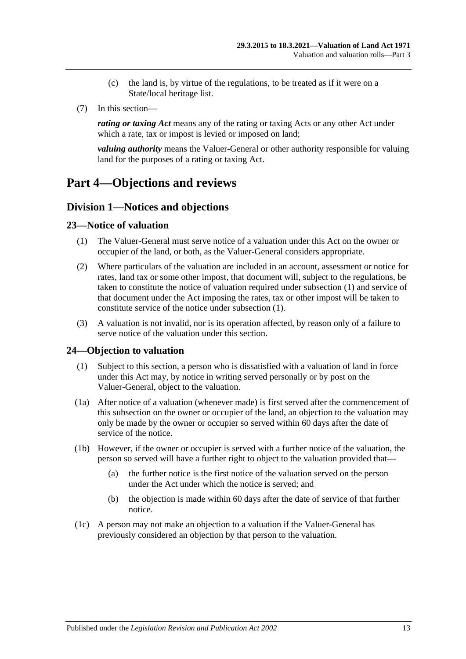- (c) the land is, by virtue of the regulations, to be treated as if it were on a State/local heritage list.
- (7) In this section—

*rating or taxing Act* means any of the rating or taxing Acts or any other Act under which a rate, tax or impost is levied or imposed on land;

*valuing authority* means the Valuer-General or other authority responsible for valuing land for the purposes of a rating or taxing Act.

## <span id="page-12-1"></span><span id="page-12-0"></span>**Part 4—Objections and reviews**

#### **Division 1—Notices and objections**

#### <span id="page-12-4"></span><span id="page-12-2"></span>**23—Notice of valuation**

- (1) The Valuer-General must serve notice of a valuation under this Act on the owner or occupier of the land, or both, as the Valuer-General considers appropriate.
- (2) Where particulars of the valuation are included in an account, assessment or notice for rates, land tax or some other impost, that document will, subject to the regulations, be taken to constitute the notice of valuation required under [subsection](#page-12-4) (1) and service of that document under the Act imposing the rates, tax or other impost will be taken to constitute service of the notice under [subsection](#page-12-4) (1).
- (3) A valuation is not invalid, nor is its operation affected, by reason only of a failure to serve notice of the valuation under this section.

#### <span id="page-12-5"></span><span id="page-12-3"></span>**24—Objection to valuation**

- (1) Subject to this section, a person who is dissatisfied with a valuation of land in force under this Act may, by notice in writing served personally or by post on the Valuer-General, object to the valuation.
- (1a) After notice of a valuation (whenever made) is first served after the commencement of this subsection on the owner or occupier of the land, an objection to the valuation may only be made by the owner or occupier so served within 60 days after the date of service of the notice.
- (1b) However, if the owner or occupier is served with a further notice of the valuation, the person so served will have a further right to object to the valuation provided that—
	- (a) the further notice is the first notice of the valuation served on the person under the Act under which the notice is served; and
	- (b) the objection is made within 60 days after the date of service of that further notice.
- (1c) A person may not make an objection to a valuation if the Valuer-General has previously considered an objection by that person to the valuation.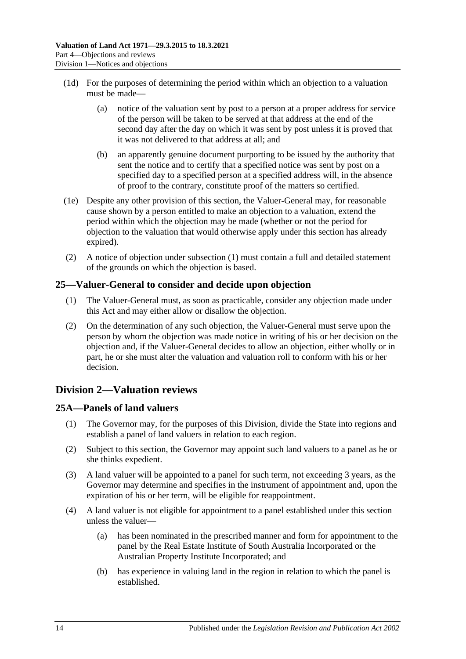- (1d) For the purposes of determining the period within which an objection to a valuation must be made—
	- (a) notice of the valuation sent by post to a person at a proper address for service of the person will be taken to be served at that address at the end of the second day after the day on which it was sent by post unless it is proved that it was not delivered to that address at all; and
	- (b) an apparently genuine document purporting to be issued by the authority that sent the notice and to certify that a specified notice was sent by post on a specified day to a specified person at a specified address will, in the absence of proof to the contrary, constitute proof of the matters so certified.
- (1e) Despite any other provision of this section, the Valuer-General may, for reasonable cause shown by a person entitled to make an objection to a valuation, extend the period within which the objection may be made (whether or not the period for objection to the valuation that would otherwise apply under this section has already expired).
- (2) A notice of objection under [subsection](#page-12-5) (1) must contain a full and detailed statement of the grounds on which the objection is based.

### <span id="page-13-0"></span>**25—Valuer-General to consider and decide upon objection**

- (1) The Valuer-General must, as soon as practicable, consider any objection made under this Act and may either allow or disallow the objection.
- (2) On the determination of any such objection, the Valuer-General must serve upon the person by whom the objection was made notice in writing of his or her decision on the objection and, if the Valuer-General decides to allow an objection, either wholly or in part, he or she must alter the valuation and valuation roll to conform with his or her decision.

## <span id="page-13-1"></span>**Division 2—Valuation reviews**

## <span id="page-13-2"></span>**25A—Panels of land valuers**

- (1) The Governor may, for the purposes of this Division, divide the State into regions and establish a panel of land valuers in relation to each region.
- (2) Subject to this section, the Governor may appoint such land valuers to a panel as he or she thinks expedient.
- (3) A land valuer will be appointed to a panel for such term, not exceeding 3 years, as the Governor may determine and specifies in the instrument of appointment and, upon the expiration of his or her term, will be eligible for reappointment.
- (4) A land valuer is not eligible for appointment to a panel established under this section unless the valuer—
	- (a) has been nominated in the prescribed manner and form for appointment to the panel by the Real Estate Institute of South Australia Incorporated or the Australian Property Institute Incorporated; and
	- (b) has experience in valuing land in the region in relation to which the panel is established.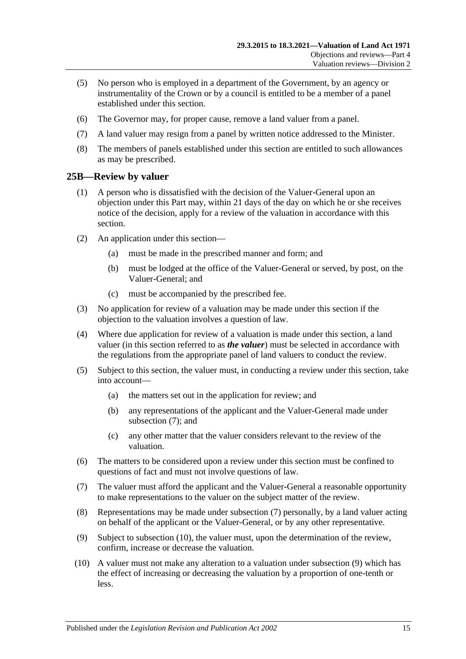- (5) No person who is employed in a department of the Government, by an agency or instrumentality of the Crown or by a council is entitled to be a member of a panel established under this section.
- (6) The Governor may, for proper cause, remove a land valuer from a panel.
- (7) A land valuer may resign from a panel by written notice addressed to the Minister.
- (8) The members of panels established under this section are entitled to such allowances as may be prescribed.

#### <span id="page-14-0"></span>**25B—Review by valuer**

- (1) A person who is dissatisfied with the decision of the Valuer-General upon an objection under this Part may, within 21 days of the day on which he or she receives notice of the decision, apply for a review of the valuation in accordance with this section.
- (2) An application under this section—
	- (a) must be made in the prescribed manner and form; and
	- (b) must be lodged at the office of the Valuer-General or served, by post, on the Valuer-General; and
	- (c) must be accompanied by the prescribed fee.
- (3) No application for review of a valuation may be made under this section if the objection to the valuation involves a question of law.
- (4) Where due application for review of a valuation is made under this section, a land valuer (in this section referred to as *the valuer*) must be selected in accordance with the regulations from the appropriate panel of land valuers to conduct the review.
- (5) Subject to this section, the valuer must, in conducting a review under this section, take into account—
	- (a) the matters set out in the application for review; and
	- (b) any representations of the applicant and the Valuer-General made under [subsection](#page-14-1) (7); and
	- (c) any other matter that the valuer considers relevant to the review of the valuation.
- (6) The matters to be considered upon a review under this section must be confined to questions of fact and must not involve questions of law.
- <span id="page-14-1"></span>(7) The valuer must afford the applicant and the Valuer-General a reasonable opportunity to make representations to the valuer on the subject matter of the review.
- (8) Representations may be made under [subsection](#page-14-1) (7) personally, by a land valuer acting on behalf of the applicant or the Valuer-General, or by any other representative.
- <span id="page-14-3"></span>(9) Subject to [subsection](#page-14-2) (10), the valuer must, upon the determination of the review, confirm, increase or decrease the valuation.
- <span id="page-14-2"></span>(10) A valuer must not make any alteration to a valuation under [subsection](#page-14-3) (9) which has the effect of increasing or decreasing the valuation by a proportion of one-tenth or less.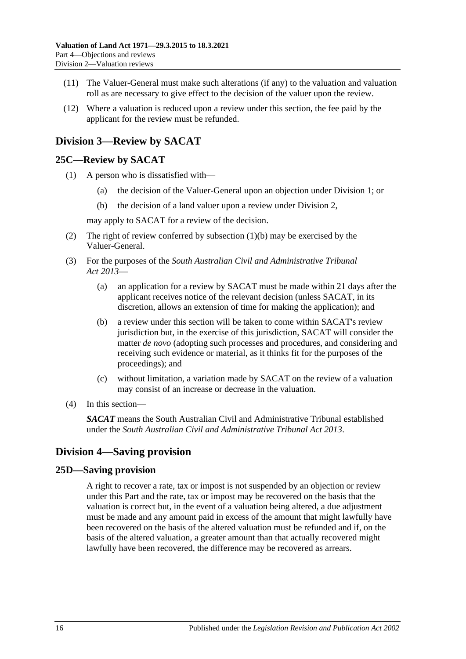- (11) The Valuer-General must make such alterations (if any) to the valuation and valuation roll as are necessary to give effect to the decision of the valuer upon the review.
- (12) Where a valuation is reduced upon a review under this section, the fee paid by the applicant for the review must be refunded.

## <span id="page-15-0"></span>**Division 3—Review by SACAT**

#### <span id="page-15-1"></span>**25C—Review by SACAT**

- <span id="page-15-4"></span>(1) A person who is dissatisfied with—
	- (a) the decision of the Valuer-General upon an objection under [Division 1;](#page-12-1) or
	- (b) the decision of a land valuer upon a review under [Division 2,](#page-13-1)

may apply to SACAT for a review of the decision.

- (2) The right of review conferred by [subsection](#page-15-4) (1)(b) may be exercised by the Valuer-General.
- (3) For the purposes of the *[South Australian Civil and Administrative Tribunal](http://www.legislation.sa.gov.au/index.aspx?action=legref&type=act&legtitle=South%20Australian%20Civil%20and%20Administrative%20Tribunal%20Act%202013)  Act [2013](http://www.legislation.sa.gov.au/index.aspx?action=legref&type=act&legtitle=South%20Australian%20Civil%20and%20Administrative%20Tribunal%20Act%202013)*—
	- (a) an application for a review by SACAT must be made within 21 days after the applicant receives notice of the relevant decision (unless SACAT, in its discretion, allows an extension of time for making the application); and
	- (b) a review under this section will be taken to come within SACAT's review jurisdiction but, in the exercise of this jurisdiction, SACAT will consider the matter *de novo* (adopting such processes and procedures, and considering and receiving such evidence or material, as it thinks fit for the purposes of the proceedings); and
	- (c) without limitation, a variation made by SACAT on the review of a valuation may consist of an increase or decrease in the valuation.
- (4) In this section—

*SACAT* means the South Australian Civil and Administrative Tribunal established under the *[South Australian Civil and Administrative Tribunal Act](http://www.legislation.sa.gov.au/index.aspx?action=legref&type=act&legtitle=South%20Australian%20Civil%20and%20Administrative%20Tribunal%20Act%202013) 2013*.

## <span id="page-15-2"></span>**Division 4—Saving provision**

#### <span id="page-15-3"></span>**25D—Saving provision**

A right to recover a rate, tax or impost is not suspended by an objection or review under this Part and the rate, tax or impost may be recovered on the basis that the valuation is correct but, in the event of a valuation being altered, a due adjustment must be made and any amount paid in excess of the amount that might lawfully have been recovered on the basis of the altered valuation must be refunded and if, on the basis of the altered valuation, a greater amount than that actually recovered might lawfully have been recovered, the difference may be recovered as arrears.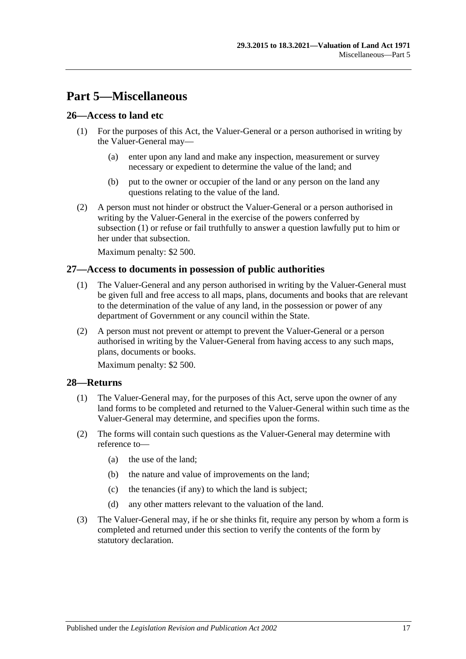## <span id="page-16-0"></span>**Part 5—Miscellaneous**

#### <span id="page-16-4"></span><span id="page-16-1"></span>**26—Access to land etc**

- (1) For the purposes of this Act, the Valuer-General or a person authorised in writing by the Valuer-General may—
	- (a) enter upon any land and make any inspection, measurement or survey necessary or expedient to determine the value of the land; and
	- (b) put to the owner or occupier of the land or any person on the land any questions relating to the value of the land.
- (2) A person must not hinder or obstruct the Valuer-General or a person authorised in writing by the Valuer-General in the exercise of the powers conferred by [subsection](#page-16-4) (1) or refuse or fail truthfully to answer a question lawfully put to him or her under that subsection.

Maximum penalty: \$2 500.

#### <span id="page-16-2"></span>**27—Access to documents in possession of public authorities**

- (1) The Valuer-General and any person authorised in writing by the Valuer-General must be given full and free access to all maps, plans, documents and books that are relevant to the determination of the value of any land, in the possession or power of any department of Government or any council within the State.
- (2) A person must not prevent or attempt to prevent the Valuer-General or a person authorised in writing by the Valuer-General from having access to any such maps, plans, documents or books.

Maximum penalty: \$2 500.

#### <span id="page-16-5"></span><span id="page-16-3"></span>**28—Returns**

- (1) The Valuer-General may, for the purposes of this Act, serve upon the owner of any land forms to be completed and returned to the Valuer-General within such time as the Valuer-General may determine, and specifies upon the forms.
- (2) The forms will contain such questions as the Valuer-General may determine with reference to—
	- (a) the use of the land;
	- (b) the nature and value of improvements on the land;
	- (c) the tenancies (if any) to which the land is subject;
	- (d) any other matters relevant to the valuation of the land.
- <span id="page-16-6"></span>(3) The Valuer-General may, if he or she thinks fit, require any person by whom a form is completed and returned under this section to verify the contents of the form by statutory declaration.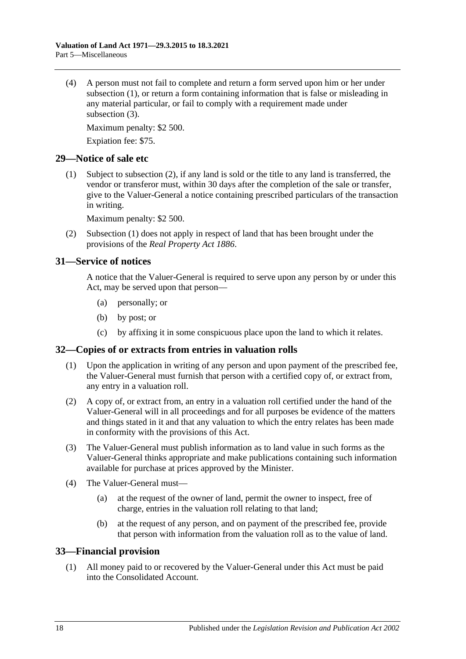(4) A person must not fail to complete and return a form served upon him or her under [subsection](#page-16-5) (1), or return a form containing information that is false or misleading in any material particular, or fail to comply with a requirement made under [subsection](#page-16-6) (3).

Maximum penalty: \$2 500.

Expiation fee: \$75.

#### <span id="page-17-5"></span><span id="page-17-0"></span>**29—Notice of sale etc**

(1) Subject to [subsection](#page-17-4) (2), if any land is sold or the title to any land is transferred, the vendor or transferor must, within 30 days after the completion of the sale or transfer, give to the Valuer-General a notice containing prescribed particulars of the transaction in writing.

Maximum penalty: \$2 500.

<span id="page-17-4"></span>(2) [Subsection](#page-17-5) (1) does not apply in respect of land that has been brought under the provisions of the *[Real Property Act](http://www.legislation.sa.gov.au/index.aspx?action=legref&type=act&legtitle=Real%20Property%20Act%201886) 1886*.

#### <span id="page-17-1"></span>**31—Service of notices**

A notice that the Valuer-General is required to serve upon any person by or under this Act, may be served upon that person—

- (a) personally; or
- (b) by post; or
- (c) by affixing it in some conspicuous place upon the land to which it relates.

#### <span id="page-17-2"></span>**32—Copies of or extracts from entries in valuation rolls**

- (1) Upon the application in writing of any person and upon payment of the prescribed fee, the Valuer-General must furnish that person with a certified copy of, or extract from, any entry in a valuation roll.
- (2) A copy of, or extract from, an entry in a valuation roll certified under the hand of the Valuer-General will in all proceedings and for all purposes be evidence of the matters and things stated in it and that any valuation to which the entry relates has been made in conformity with the provisions of this Act.
- (3) The Valuer-General must publish information as to land value in such forms as the Valuer-General thinks appropriate and make publications containing such information available for purchase at prices approved by the Minister.
- (4) The Valuer-General must—
	- (a) at the request of the owner of land, permit the owner to inspect, free of charge, entries in the valuation roll relating to that land;
	- (b) at the request of any person, and on payment of the prescribed fee, provide that person with information from the valuation roll as to the value of land.

#### <span id="page-17-3"></span>**33—Financial provision**

(1) All money paid to or recovered by the Valuer-General under this Act must be paid into the Consolidated Account.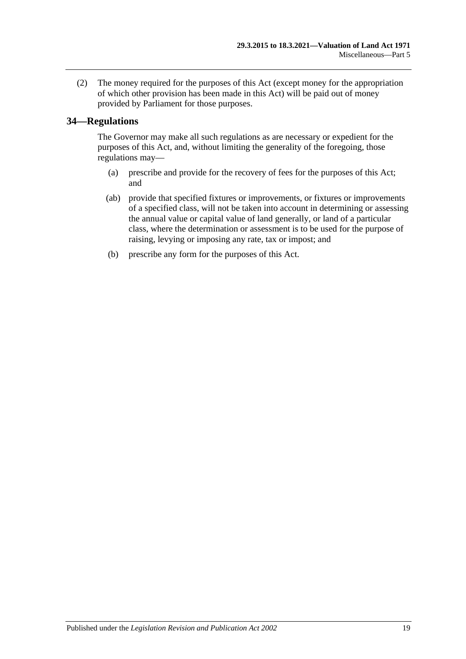(2) The money required for the purposes of this Act (except money for the appropriation of which other provision has been made in this Act) will be paid out of money provided by Parliament for those purposes.

### <span id="page-18-0"></span>**34—Regulations**

The Governor may make all such regulations as are necessary or expedient for the purposes of this Act, and, without limiting the generality of the foregoing, those regulations may—

- (a) prescribe and provide for the recovery of fees for the purposes of this Act; and
- (ab) provide that specified fixtures or improvements, or fixtures or improvements of a specified class, will not be taken into account in determining or assessing the annual value or capital value of land generally, or land of a particular class, where the determination or assessment is to be used for the purpose of raising, levying or imposing any rate, tax or impost; and
- (b) prescribe any form for the purposes of this Act.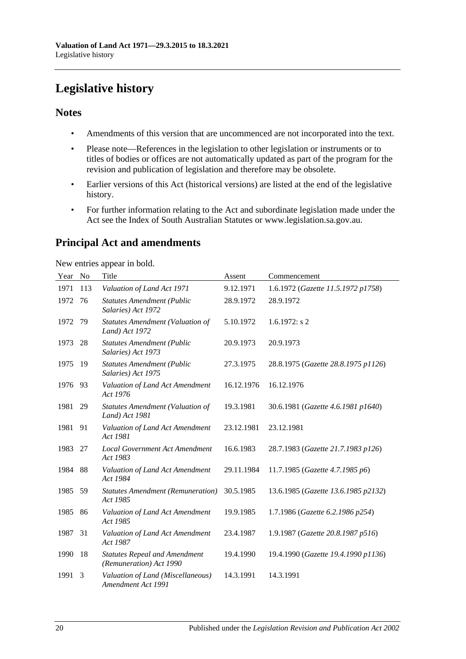## <span id="page-19-0"></span>**Legislative history**

## **Notes**

- Amendments of this version that are uncommenced are not incorporated into the text.
- Please note—References in the legislation to other legislation or instruments or to titles of bodies or offices are not automatically updated as part of the program for the revision and publication of legislation and therefore may be obsolete.
- Earlier versions of this Act (historical versions) are listed at the end of the legislative history.
- For further information relating to the Act and subordinate legislation made under the Act see the Index of South Australian Statutes or www.legislation.sa.gov.au.

## **Principal Act and amendments**

New entries appear in bold.

| Year | N <sub>o</sub> | Title                                                           | Assent     | Commencement                        |
|------|----------------|-----------------------------------------------------------------|------------|-------------------------------------|
| 1971 | 113            | Valuation of Land Act 1971                                      | 9.12.1971  | 1.6.1972 (Gazette 11.5.1972 p1758)  |
| 1972 | 76             | <b>Statutes Amendment (Public</b><br>Salaries) Act 1972         | 28.9.1972  | 28.9.1972                           |
| 1972 | 79             | <b>Statutes Amendment (Valuation of</b><br>Land) Act 1972       | 5.10.1972  | $1.6.1972$ : s 2                    |
| 1973 | 28             | <b>Statutes Amendment (Public</b><br>Salaries) Act 1973         | 20.9.1973  | 20.9.1973                           |
| 1975 | 19             | <b>Statutes Amendment (Public</b><br>Salaries) Act 1975         | 27.3.1975  | 28.8.1975 (Gazette 28.8.1975 p1126) |
| 1976 | 93             | Valuation of Land Act Amendment<br>Act 1976                     | 16.12.1976 | 16.12.1976                          |
| 1981 | 29             | <b>Statutes Amendment (Valuation of</b><br>Land) Act 1981       | 19.3.1981  | 30.6.1981 (Gazette 4.6.1981 p1640)  |
| 1981 | 91             | Valuation of Land Act Amendment<br>Act 1981                     | 23.12.1981 | 23.12.1981                          |
| 1983 | 27             | <b>Local Government Act Amendment</b><br>Act 1983               | 16.6.1983  | 28.7.1983 (Gazette 21.7.1983 p126)  |
| 1984 | 88             | Valuation of Land Act Amendment<br>Act 1984                     | 29.11.1984 | 11.7.1985 (Gazette 4.7.1985 p6)     |
| 1985 | 59             | <b>Statutes Amendment (Remuneration)</b><br>Act 1985            | 30.5.1985  | 13.6.1985 (Gazette 13.6.1985 p2132) |
| 1985 | 86             | Valuation of Land Act Amendment<br>Act 1985                     | 19.9.1985  | 1.7.1986 (Gazette 6.2.1986 p254)    |
| 1987 | 31             | Valuation of Land Act Amendment<br>Act 1987                     | 23.4.1987  | 1.9.1987 (Gazette 20.8.1987 p516)   |
| 1990 | 18             | <b>Statutes Repeal and Amendment</b><br>(Remuneration) Act 1990 | 19.4.1990  | 19.4.1990 (Gazette 19.4.1990 p1136) |
| 1991 | 3              | Valuation of Land (Miscellaneous)<br>Amendment Act 1991         | 14.3.1991  | 14.3.1991                           |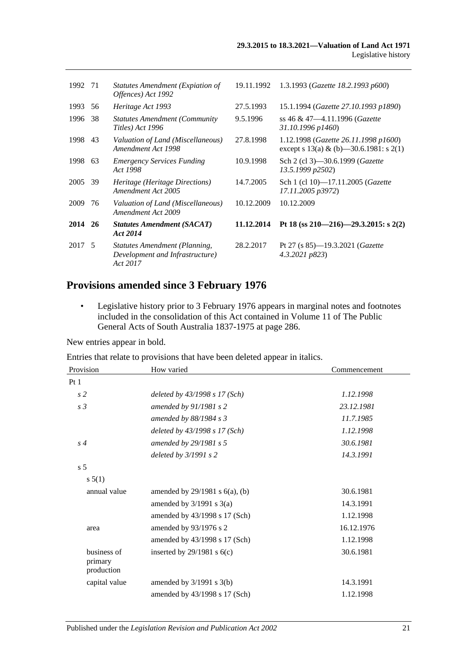| 1992 71 |     | Statutes Amendment (Expiation of<br>Offences) Act 1992                       | 19.11.1992 | 1.3.1993 (Gazette 18.2.1993 p600)                                               |
|---------|-----|------------------------------------------------------------------------------|------------|---------------------------------------------------------------------------------|
| 1993    | 56  | Heritage Act 1993                                                            | 27.5.1993  | 15.1.1994 (Gazette 27.10.1993 p1890)                                            |
| 1996    | 38  | <b>Statutes Amendment (Community</b><br>Titles) Act 1996                     | 9.5.1996   | ss 46 & 47—4.11.1996 (Gazette<br>31.10.1996 p1460)                              |
| 1998    | 43  | Valuation of Land (Miscellaneous)<br>Amendment Act 1998                      | 27.8.1998  | 1.12.1998 (Gazette 26.11.1998 p1600)<br>except s 13(a) & (b) -30.6.1981: s 2(1) |
| 1998 63 |     | <b>Emergency Services Funding</b><br>Act 1998                                | 10.9.1998  | Sch 2 (cl 3)–30.6.1999 ( <i>Gazette</i><br>13.5.1999 p2502)                     |
| 2005    | -39 | Heritage (Heritage Directions)<br>Amendment Act 2005                         | 14.7.2005  | Sch 1 (cl 10)-17.11.2005 (Gazette<br>17.11.2005 p3972)                          |
| 2009    | 76  | Valuation of Land (Miscellaneous)<br>Amendment Act 2009                      | 10.12.2009 | 10.12.2009                                                                      |
| 2014 26 |     | <b>Statutes Amendment (SACAT)</b><br>Act 2014                                | 11.12.2014 | Pt 18 (ss 210–216)–29.3.2015: s 2(2)                                            |
| 2017 5  |     | Statutes Amendment (Planning,<br>Development and Infrastructure)<br>Act 2017 | 28.2.2017  | Pt 27 (s $85$ )—19.3.2021 ( <i>Gazette</i><br>4.3.2021 p823                     |

## **Provisions amended since 3 February 1976**

• Legislative history prior to 3 February 1976 appears in marginal notes and footnotes included in the consolidation of this Act contained in Volume 11 of The Public General Acts of South Australia 1837-1975 at page 286.

New entries appear in bold.

Entries that relate to provisions that have been deleted appear in italics.

| How varied                          | Commencement |  |
|-------------------------------------|--------------|--|
|                                     |              |  |
| deleted by $43/1998 s 17 (Sch)$     | 1.12.1998    |  |
| amended by $91/1981$ s 2            | 23.12.1981   |  |
| amended by $88/1984$ s 3            | 11.7.1985    |  |
| deleted by 43/1998 s 17 (Sch)       | 1.12.1998    |  |
| amended by 29/1981 s 5              | 30.6.1981    |  |
| deleted by $3/1991 s 2$             | 14.3.1991    |  |
|                                     |              |  |
|                                     |              |  |
| amended by $29/1981$ s $6(a)$ , (b) | 30.6.1981    |  |
| amended by $3/1991$ s $3(a)$        | 14.3.1991    |  |
| amended by 43/1998 s 17 (Sch)       | 1.12.1998    |  |
| amended by 93/1976 s 2              | 16.12.1976   |  |
| amended by 43/1998 s 17 (Sch)       | 1.12.1998    |  |
| inserted by $29/1981$ s $6(c)$      | 30.6.1981    |  |
| amended by $3/1991$ s $3(b)$        | 14.3.1991    |  |
| amended by 43/1998 s 17 (Sch)       | 1.12.1998    |  |
|                                     |              |  |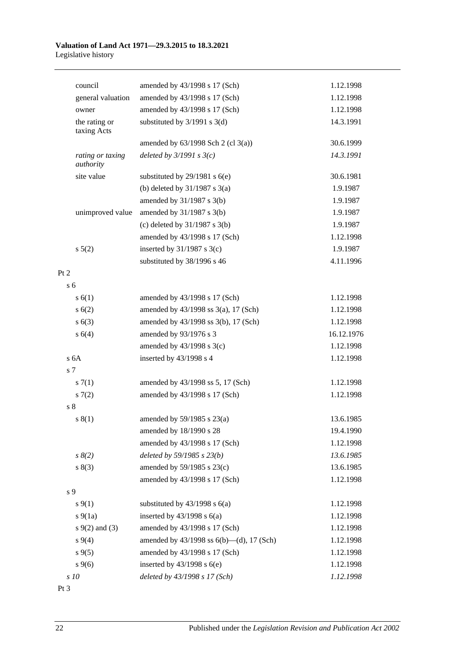#### **Valuation of Land Act 1971—29.3.2015 to 18.3.2021** Legislative history

| council                      | amended by 43/1998 s 17 (Sch)                 | 1.12.1998  |
|------------------------------|-----------------------------------------------|------------|
| general valuation            | amended by 43/1998 s 17 (Sch)                 | 1.12.1998  |
| owner                        | amended by 43/1998 s 17 (Sch)                 | 1.12.1998  |
| the rating or<br>taxing Acts | substituted by $3/1991$ s $3(d)$              | 14.3.1991  |
|                              | amended by $63/1998$ Sch 2 (cl 3(a))          | 30.6.1999  |
| rating or taxing             | deleted by $3/1991 s 3(c)$                    | 14.3.1991  |
| authority                    |                                               |            |
| site value                   | substituted by $29/1981$ s $6(e)$             | 30.6.1981  |
|                              | (b) deleted by $31/1987$ s $3(a)$             | 1.9.1987   |
|                              | amended by $31/1987$ s $3(b)$                 | 1.9.1987   |
| unimproved value             | amended by $31/1987$ s $3(b)$                 | 1.9.1987   |
|                              | (c) deleted by $31/1987$ s $3(b)$             | 1.9.1987   |
|                              | amended by 43/1998 s 17 (Sch)                 | 1.12.1998  |
| $s\ 5(2)$                    | inserted by $31/1987$ s $3(c)$                | 1.9.1987   |
|                              | substituted by 38/1996 s 46                   | 4.11.1996  |
| Pt 2                         |                                               |            |
| s <sub>6</sub>               |                                               |            |
| s(6(1))                      | amended by 43/1998 s 17 (Sch)                 | 1.12.1998  |
| s(6(2))                      | amended by $43/1998$ ss $3(a)$ , 17 (Sch)     | 1.12.1998  |
| s(6(3))                      | amended by 43/1998 ss 3(b), 17 (Sch)          | 1.12.1998  |
| s 6(4)                       | amended by 93/1976 s 3                        | 16.12.1976 |
|                              | amended by $43/1998$ s $3(c)$                 | 1.12.1998  |
| s 6A                         | inserted by 43/1998 s 4                       | 1.12.1998  |
| s <sub>7</sub>               |                                               |            |
| s(7(1))                      | amended by 43/1998 ss 5, 17 (Sch)             | 1.12.1998  |
| 57(2)                        | amended by 43/1998 s 17 (Sch)                 | 1.12.1998  |
| s <sub>8</sub>               |                                               |            |
| s(1)                         | amended by $59/1985$ s $23(a)$                | 13.6.1985  |
|                              | amended by 18/1990 s 28                       | 19.4.1990  |
|                              | amended by 43/1998 s 17 (Sch)                 | 1.12.1998  |
| $s \, 8(2)$                  | deleted by 59/1985 s 23(b)                    | 13.6.1985  |
| s(3)                         | amended by 59/1985 s 23(c)                    | 13.6.1985  |
|                              | amended by 43/1998 s 17 (Sch)                 | 1.12.1998  |
| s 9                          |                                               |            |
| $s \, 9(1)$                  | substituted by $43/1998$ s $6(a)$             | 1.12.1998  |
| $s\ 9(1a)$                   | inserted by $43/1998$ s $6(a)$                | 1.12.1998  |
| $s \, 9(2)$ and (3)          | amended by 43/1998 s 17 (Sch)                 | 1.12.1998  |
| $s\,9(4)$                    | amended by $43/1998$ ss $6(b)$ —(d), 17 (Sch) | 1.12.1998  |
| $s\,9(5)$                    | amended by 43/1998 s 17 (Sch)                 | 1.12.1998  |
| $s \, 9(6)$                  | inserted by $43/1998$ s $6(e)$                | 1.12.1998  |
| s 10                         | deleted by 43/1998 s 17 (Sch)                 | 1.12.1998  |

Pt 3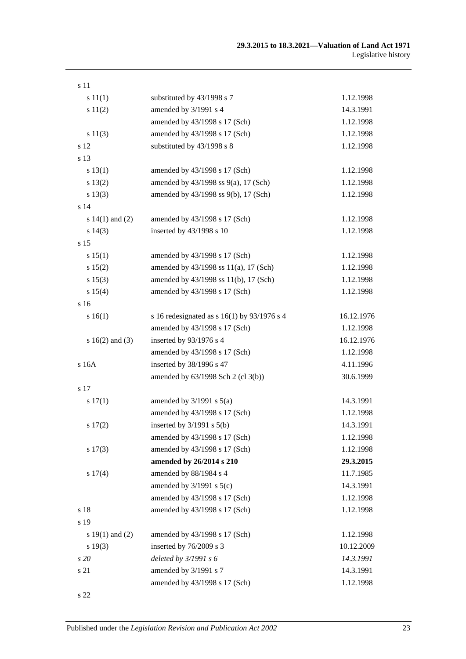| s 11                |                                               |            |
|---------------------|-----------------------------------------------|------------|
| s 11(1)             | substituted by 43/1998 s 7                    | 1.12.1998  |
| s 11(2)             | amended by 3/1991 s 4                         | 14.3.1991  |
|                     | amended by 43/1998 s 17 (Sch)                 | 1.12.1998  |
| s 11(3)             | amended by 43/1998 s 17 (Sch)                 | 1.12.1998  |
| s 12                | substituted by 43/1998 s 8                    | 1.12.1998  |
| s 13                |                                               |            |
| s 13(1)             | amended by 43/1998 s 17 (Sch)                 | 1.12.1998  |
| s 13(2)             | amended by 43/1998 ss 9(a), 17 (Sch)          | 1.12.1998  |
| s 13(3)             | amended by 43/1998 ss 9(b), 17 (Sch)          | 1.12.1998  |
| s <sub>14</sub>     |                                               |            |
| s $14(1)$ and $(2)$ | amended by 43/1998 s 17 (Sch)                 | 1.12.1998  |
| s 14(3)             | inserted by 43/1998 s 10                      | 1.12.1998  |
| s 15                |                                               |            |
| s 15(1)             | amended by 43/1998 s 17 (Sch)                 | 1.12.1998  |
| s 15(2)             | amended by 43/1998 ss 11(a), 17 (Sch)         | 1.12.1998  |
| s 15(3)             | amended by 43/1998 ss 11(b), 17 (Sch)         | 1.12.1998  |
| s 15(4)             | amended by 43/1998 s 17 (Sch)                 | 1.12.1998  |
| s 16                |                                               |            |
| s 16(1)             | s 16 redesignated as s $16(1)$ by 93/1976 s 4 | 16.12.1976 |
|                     | amended by 43/1998 s 17 (Sch)                 | 1.12.1998  |
| s $16(2)$ and $(3)$ | inserted by 93/1976 s 4                       | 16.12.1976 |
|                     | amended by 43/1998 s 17 (Sch)                 | 1.12.1998  |
| s 16A               | inserted by 38/1996 s 47                      | 4.11.1996  |
|                     | amended by 63/1998 Sch 2 (cl 3(b))            | 30.6.1999  |
| s 17                |                                               |            |
| s 17(1)             | amended by $3/1991$ s $5(a)$                  | 14.3.1991  |
|                     | amended by 43/1998 s 17 (Sch)                 | 1.12.1998  |
| s 17(2)             | inserted by $3/1991$ s $5(b)$                 | 14.3.1991  |
|                     | amended by 43/1998 s 17 (Sch)                 | 1.12.1998  |
| s 17(3)             | amended by 43/1998 s 17 (Sch)                 | 1.12.1998  |
|                     | amended by 26/2014 s 210                      | 29.3.2015  |
| s 17(4)             | amended by 88/1984 s 4                        | 11.7.1985  |
|                     | amended by $3/1991$ s $5(c)$                  | 14.3.1991  |
|                     | amended by 43/1998 s 17 (Sch)                 | 1.12.1998  |
| s 18                | amended by 43/1998 s 17 (Sch)                 | 1.12.1998  |
| s 19                |                                               |            |
| s $19(1)$ and $(2)$ | amended by 43/1998 s 17 (Sch)                 | 1.12.1998  |
| s 19(3)             | inserted by 76/2009 s 3                       | 10.12.2009 |
| s20                 | deleted by 3/1991 s 6                         | 14.3.1991  |
| s 21                | amended by 3/1991 s 7                         | 14.3.1991  |
|                     | amended by 43/1998 s 17 (Sch)                 | 1.12.1998  |
|                     |                                               |            |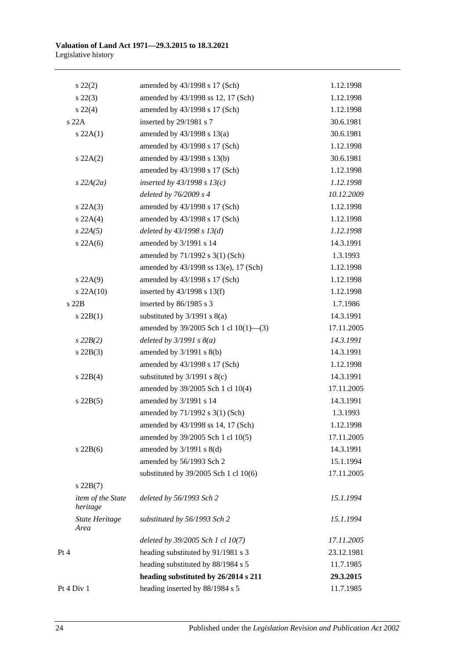| $s\,22(2)$                    | amended by 43/1998 s 17 (Sch)         | 1.12.1998  |
|-------------------------------|---------------------------------------|------------|
| $s\ 22(3)$                    | amended by 43/1998 ss 12, 17 (Sch)    | 1.12.1998  |
| $s\ 22(4)$                    | amended by 43/1998 s 17 (Sch)         | 1.12.1998  |
| s 22A                         | inserted by 29/1981 s 7               | 30.6.1981  |
| s 22A(1)                      | amended by 43/1998 s 13(a)            | 30.6.1981  |
|                               | amended by 43/1998 s 17 (Sch)         | 1.12.1998  |
| $s\,22A(2)$                   | amended by 43/1998 s 13(b)            | 30.6.1981  |
|                               | amended by 43/1998 s 17 (Sch)         | 1.12.1998  |
| $s$ 22A(2a)                   | inserted by $43/1998$ s $13(c)$       | 1.12.1998  |
|                               | deleted by $76/2009 s 4$              | 10.12.2009 |
| $s\,22A(3)$                   | amended by 43/1998 s 17 (Sch)         | 1.12.1998  |
| s 22A(4)                      | amended by 43/1998 s 17 (Sch)         | 1.12.1998  |
| $s\,22A(5)$                   | deleted by $43/1998 s 13(d)$          | 1.12.1998  |
| $s\,22A(6)$                   | amended by 3/1991 s 14                | 14.3.1991  |
|                               | amended by 71/1992 s 3(1) (Sch)       | 1.3.1993   |
|                               | amended by 43/1998 ss 13(e), 17 (Sch) | 1.12.1998  |
| $s\ 22A(9)$                   | amended by 43/1998 s 17 (Sch)         | 1.12.1998  |
| $s$ 22A(10)                   | inserted by $43/1998$ s $13(f)$       | 1.12.1998  |
| s22B                          | inserted by 86/1985 s 3               | 1.7.1986   |
| $s\ 22B(1)$                   | substituted by $3/1991$ s $8(a)$      | 14.3.1991  |
|                               | amended by 39/2005 Sch 1 cl 10(1)-(3) | 17.11.2005 |
| $s\,22B(2)$                   | deleted by $3/1991 s 8(a)$            | 14.3.1991  |
| $s$ 22B(3)                    | amended by $3/1991$ s $8(b)$          | 14.3.1991  |
|                               | amended by 43/1998 s 17 (Sch)         | 1.12.1998  |
| $s\ 22B(4)$                   | substituted by $3/1991$ s $8(c)$      | 14.3.1991  |
|                               | amended by 39/2005 Sch 1 cl 10(4)     | 17.11.2005 |
| $s$ 22B(5)                    | amended by 3/1991 s 14                | 14.3.1991  |
|                               | amended by 71/1992 s 3(1) (Sch)       | 1.3.1993   |
|                               | amended by 43/1998 ss 14, 17 (Sch)    | 1.12.1998  |
|                               | amended by 39/2005 Sch 1 cl 10(5)     | 17.11.2005 |
| $s\ 22B(6)$                   | amended by 3/1991 s 8(d)              | 14.3.1991  |
|                               | amended by 56/1993 Sch 2              | 15.1.1994  |
|                               | substituted by 39/2005 Sch 1 cl 10(6) | 17.11.2005 |
| $s$ 22B $(7)$                 |                                       |            |
| item of the State<br>heritage | deleted by 56/1993 Sch 2              | 15.1.1994  |
| <b>State Heritage</b><br>Area | substituted by 56/1993 Sch 2          | 15.1.1994  |
|                               | deleted by 39/2005 Sch 1 cl 10(7)     | 17.11.2005 |
| Pt 4                          | heading substituted by 91/1981 s 3    | 23.12.1981 |
|                               | heading substituted by 88/1984 s 5    | 11.7.1985  |
|                               | heading substituted by 26/2014 s 211  | 29.3.2015  |
| Pt 4 Div 1                    | heading inserted by 88/1984 s 5       | 11.7.1985  |
|                               |                                       |            |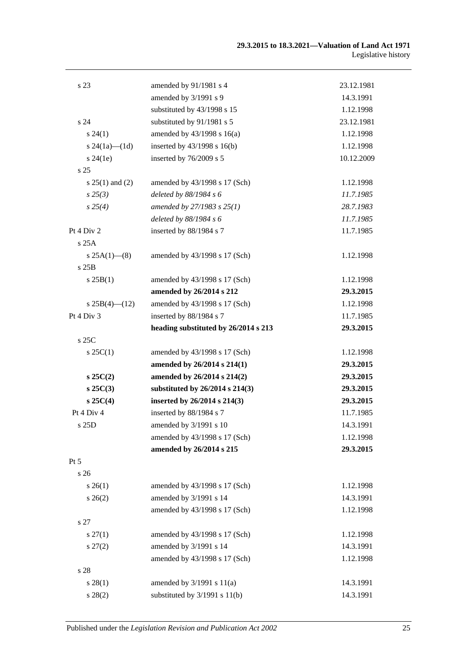| s 23                | amended by 91/1981 s 4               | 23.12.1981 |
|---------------------|--------------------------------------|------------|
|                     | amended by 3/1991 s 9                | 14.3.1991  |
|                     | substituted by 43/1998 s 15          | 1.12.1998  |
| s 24                | substituted by 91/1981 s 5           | 23.12.1981 |
| $s\,24(1)$          | amended by 43/1998 s 16(a)           | 1.12.1998  |
| s $24(1a)$ — $(1d)$ | inserted by 43/1998 s 16(b)          | 1.12.1998  |
| $s\,24(1e)$         | inserted by 76/2009 s 5              | 10.12.2009 |
| s <sub>25</sub>     |                                      |            |
| $s 25(1)$ and (2)   | amended by 43/1998 s 17 (Sch)        | 1.12.1998  |
| $s\,25(3)$          | deleted by 88/1984 s 6               | 11.7.1985  |
| $s\,25(4)$          | amended by 27/1983 s 25(1)           | 28.7.1983  |
|                     | deleted by 88/1984 s 6               | 11.7.1985  |
| Pt 4 Div 2          | inserted by 88/1984 s 7              | 11.7.1985  |
| s25A                |                                      |            |
| $s 25A(1)$ (8)      | amended by 43/1998 s 17 (Sch)        | 1.12.1998  |
| s25B                |                                      |            |
| s 25B(1)            | amended by 43/1998 s 17 (Sch)        | 1.12.1998  |
|                     | amended by 26/2014 s 212             | 29.3.2015  |
| $s25B(4)$ (12)      | amended by 43/1998 s 17 (Sch)        | 1.12.1998  |
| Pt 4 Div 3          | inserted by 88/1984 s 7              | 11.7.1985  |
|                     | heading substituted by 26/2014 s 213 | 29.3.2015  |
| s 25C               |                                      |            |
| $s \, 25C(1)$       | amended by 43/1998 s 17 (Sch)        | 1.12.1998  |
|                     | amended by 26/2014 s 214(1)          | 29.3.2015  |
| $s\,25C(2)$         | amended by 26/2014 s 214(2)          | 29.3.2015  |
| $s$ 25 $C(3)$       | substituted by 26/2014 s 214(3)      | 29.3.2015  |
| $s \, 25C(4)$       | inserted by 26/2014 s 214(3)         | 29.3.2015  |
| Pt 4 Div 4          | inserted by 88/1984 s 7              | 11.7.1985  |
| s 25D               | amended by $3/1991$ s 10             | 14.3.1991  |
|                     | amended by 43/1998 s 17 (Sch)        | 1.12.1998  |
|                     | amended by 26/2014 s 215             | 29.3.2015  |
| Pt 5                |                                      |            |
| s 26                |                                      |            |
| $s \; 26(1)$        | amended by 43/1998 s 17 (Sch)        | 1.12.1998  |
| $s \; 26(2)$        | amended by 3/1991 s 14               | 14.3.1991  |
|                     | amended by 43/1998 s 17 (Sch)        | 1.12.1998  |
| s 27                |                                      |            |
| $s \, 27(1)$        | amended by 43/1998 s 17 (Sch)        | 1.12.1998  |
| $s\,27(2)$          | amended by 3/1991 s 14               | 14.3.1991  |
|                     | amended by 43/1998 s 17 (Sch)        | 1.12.1998  |
| s 28                |                                      |            |
| s 28(1)             | amended by $3/1991$ s $11(a)$        | 14.3.1991  |
| $s\,28(2)$          | substituted by $3/1991$ s $11(b)$    | 14.3.1991  |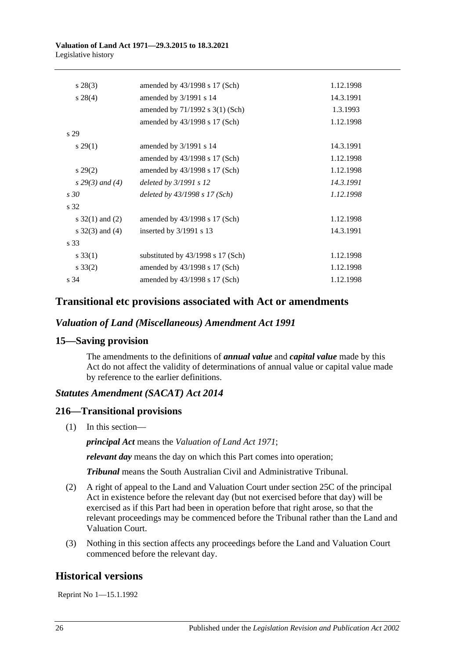#### **Valuation of Land Act 1971—29.3.2015 to 18.3.2021** Legislative history

| $s\,28(3)$         | amended by $43/1998$ s 17 (Sch)     | 1.12.1998 |
|--------------------|-------------------------------------|-----------|
| $s\,28(4)$         | amended by 3/1991 s 14              | 14.3.1991 |
|                    | amended by $71/1992$ s $3(1)$ (Sch) | 1.3.1993  |
|                    | amended by $43/1998$ s 17 (Sch)     | 1.12.1998 |
| s <sub>29</sub>    |                                     |           |
| $s\,29(1)$         | amended by $3/1991$ s 14            | 14.3.1991 |
|                    | amended by $43/1998$ s 17 (Sch)     | 1.12.1998 |
| $s\,29(2)$         | amended by 43/1998 s 17 (Sch)       | 1.12.1998 |
| $s\,29(3)$ and (4) | deleted by 3/1991 s 12              | 14.3.1991 |
| s30                | deleted by $43/1998 s 17 (Sch)$     | 1.12.1998 |
| s 32               |                                     |           |
| s $32(1)$ and (2)  | amended by 43/1998 s 17 (Sch)       | 1.12.1998 |
| s $32(3)$ and (4)  | inserted by $3/1991$ s 13           | 14.3.1991 |
| s 33               |                                     |           |
| $s \, 33(1)$       | substituted by $43/1998$ s 17 (Sch) | 1.12.1998 |
| $s \, 33(2)$       | amended by $43/1998$ s 17 (Sch)     | 1.12.1998 |
| s 34               | amended by $43/1998$ s 17 (Sch)     | 1.12.1998 |
|                    |                                     |           |

## **Transitional etc provisions associated with Act or amendments**

#### *Valuation of Land (Miscellaneous) Amendment Act 1991*

#### **15—Saving provision**

The amendments to the definitions of *annual value* and *capital value* made by this Act do not affect the validity of determinations of annual value or capital value made by reference to the earlier definitions.

## *Statutes Amendment (SACAT) Act 2014*

#### **216—Transitional provisions**

(1) In this section—

*principal Act* means the *[Valuation of Land Act](http://www.legislation.sa.gov.au/index.aspx?action=legref&type=act&legtitle=Valuation%20of%20Land%20Act%201971) 1971*;

*relevant day* means the day on which this Part comes into operation;

*Tribunal* means the South Australian Civil and Administrative Tribunal.

- (2) A right of appeal to the Land and Valuation Court under section 25C of the principal Act in existence before the relevant day (but not exercised before that day) will be exercised as if this Part had been in operation before that right arose, so that the relevant proceedings may be commenced before the Tribunal rather than the Land and Valuation Court.
- (3) Nothing in this section affects any proceedings before the Land and Valuation Court commenced before the relevant day.

## **Historical versions**

Reprint No 1—15.1.1992